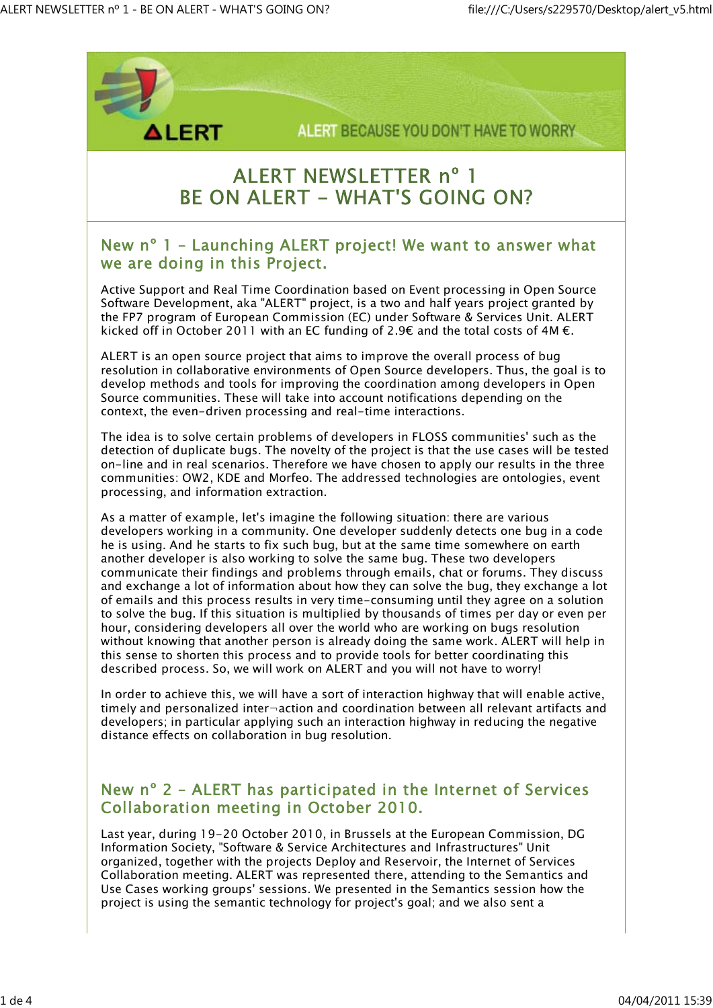

# **ALERT NEWSLETTER nº 1 BE ON ALERT - WHAT'S GOING ON?**

#### New nº 1 – Launching ALERT project! We want to answer what we are doing in this Project.

Active Support and Real Time Coordination based on Event processing in Open Source Software Development, aka "ALERT" project, is a two and half years project granted by the FP7 program of European Commission (EC) under Software & Services Unit. ALERT kicked off in October 2011 with an EC funding of 2.9€ and the total costs of 4M  $\epsilon$ .

ALERT is an open source project that aims to improve the overall process of bug resolution in collaborative environments of Open Source developers. Thus, the goal is to develop methods and tools for improving the coordination among developers in Open Source communities. These will take into account notifications depending on the context, the even-driven processing and real-time interactions.

The idea is to solve certain problems of developers in FLOSS communities' such as the detection of duplicate bugs. The novelty of the project is that the use cases will be tested on-line and in real scenarios. Therefore we have chosen to apply our results in the three communities: OW2, KDE and Morfeo. The addressed technologies are ontologies, event processing, and information extraction.

As a matter of example, let's imagine the following situation: there are various developers working in a community. One developer suddenly detects one bug in a code he is using. And he starts to fix such bug, but at the same time somewhere on earth another developer is also working to solve the same bug. These two developers communicate their findings and problems through emails, chat or forums. They discuss and exchange a lot of information about how they can solve the bug, they exchange a lot of emails and this process results in very time-consuming until they agree on a solution to solve the bug. If this situation is multiplied by thousands of times per day or even per hour, considering developers all over the world who are working on bugs resolution without knowing that another person is already doing the same work. ALERT will help in this sense to shorten this process and to provide tools for better coordinating this described process. So, we will work on ALERT and you will not have to worry!

In order to achieve this, we will have a sort of interaction highway that will enable active, timely and personalized inter¬action and coordination between all relevant artifacts and developers; in particular applying such an interaction highway in reducing the negative distance effects on collaboration in bug resolution.

### New nº 2 – ALERT has participated in the Internet of Services Collaboration meeting in October 2010.

Last year, during 19-20 October 2010, in Brussels at the European Commission, DG Information Society, "Software & Service Architectures and Infrastructures" Unit organized, together with the projects Deploy and Reservoir, the Internet of Services Collaboration meeting. ALERT was represented there, attending to the Semantics and Use Cases working groups' sessions. We presented in the Semantics session how the project is using the semantic technology for project's goal; and we also sent a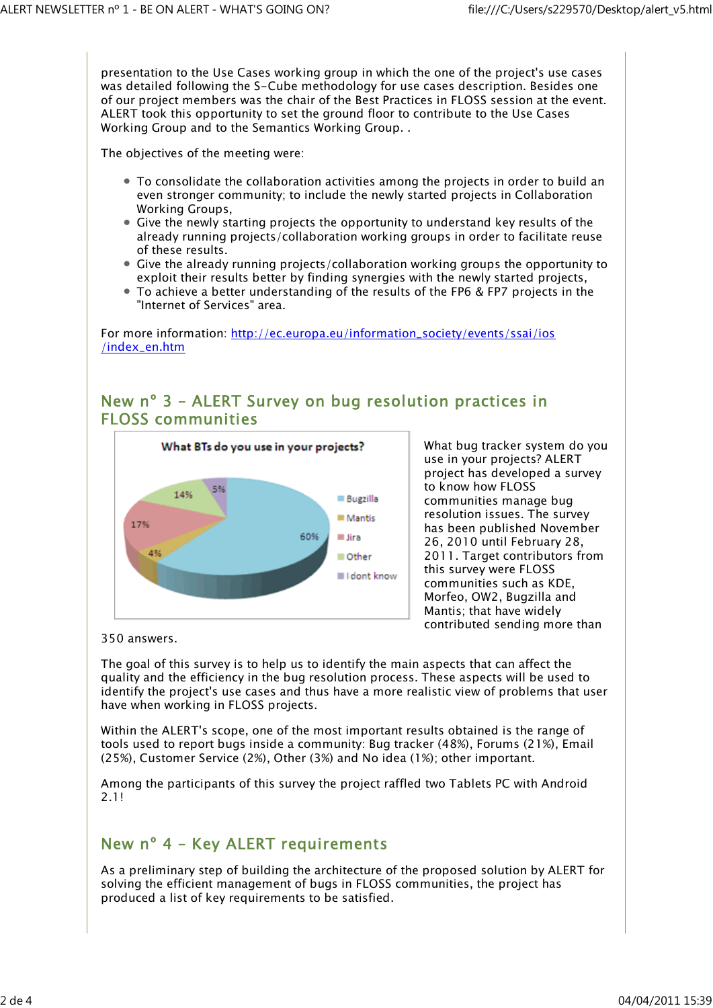presentation to the Use Cases working group in which the one of the project's use cases was detailed following the S-Cube methodology for use cases description. Besides one of our project members was the chair of the Best Practices in FLOSS session at the event. ALERT took this opportunity to set the ground floor to contribute to the Use Cases Working Group and to the Semantics Working Group. .

The objectives of the meeting were:

- To consolidate the collaboration activities among the projects in order to build an even stronger community; to include the newly started projects in Collaboration Working Groups,
- Give the newly starting projects the opportunity to understand key results of the already running projects/collaboration working groups in order to facilitate reuse of these results.
- Give the already running projects/collaboration working groups the opportunity to exploit their results better by finding synergies with the newly started projects,
- To achieve a better understanding of the results of the FP6 & FP7 projects in the "Internet of Services" area.

For more information: http://ec.europa.eu/information\_society/events/ssai/ios /index\_en.htm

## New nº 3 – ALERT Survey on bug resolution practices in FLOSS communities



What bug tracker system do you use in your projects? ALERT project has developed a survey to know how FLOSS communities manage bug resolution issues. The survey has been published November 26, 2010 until February 28, 2011. Target contributors from this survey were FLOSS communities such as KDE, Morfeo, OW2, Bugzilla and Mantis; that have widely contributed sending more than

350 answers.

The goal of this survey is to help us to identify the main aspects that can affect the quality and the efficiency in the bug resolution process. These aspects will be used to identify the project's use cases and thus have a more realistic view of problems that user have when working in FLOSS projects.

Within the ALERT's scope, one of the most important results obtained is the range of tools used to report bugs inside a community: Bug tracker (48%), Forums (21%), Email (25%), Customer Service (2%), Other (3%) and No idea (1%); other important.

Among the participants of this survey the project raffled two Tablets PC with Android 2.1!

# New nº 4 – Key ALERT requirements

As a preliminary step of building the architecture of the proposed solution by ALERT for solving the efficient management of bugs in FLOSS communities, the project has produced a list of key requirements to be satisfied.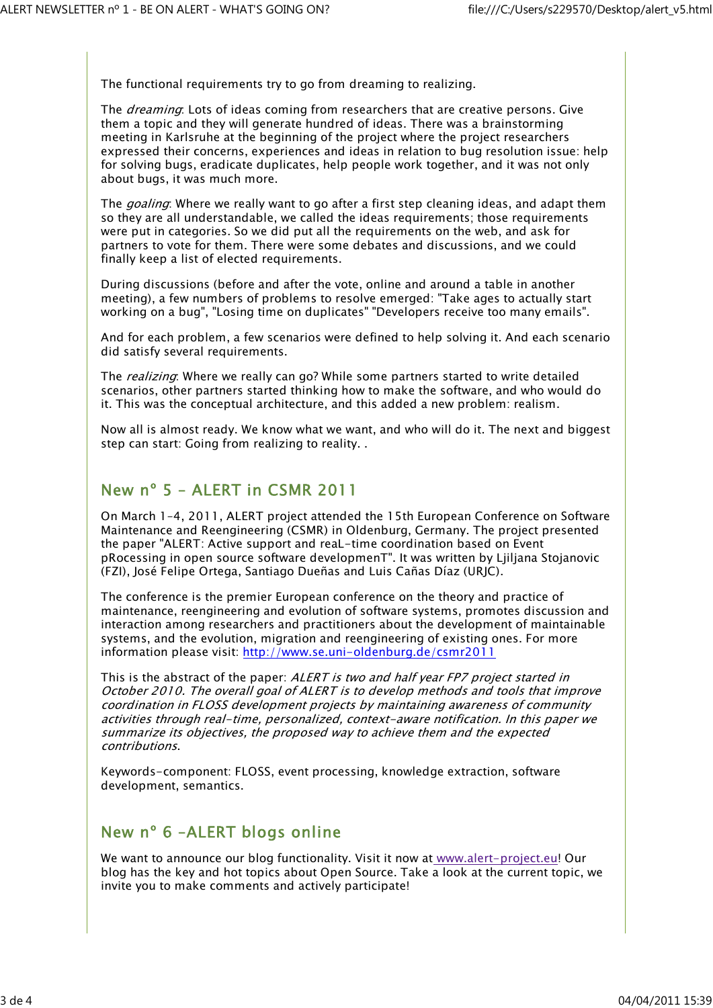The functional requirements try to go from dreaming to realizing.

The *dreaming*: Lots of ideas coming from researchers that are creative persons. Give them a topic and they will generate hundred of ideas. There was a brainstorming meeting in Karlsruhe at the beginning of the project where the project researchers expressed their concerns, experiences and ideas in relation to bug resolution issue: help for solving bugs, eradicate duplicates, help people work together, and it was not only about bugs, it was much more.

The *goaling*: Where we really want to go after a first step cleaning ideas, and adapt them so they are all understandable, we called the ideas requirements; those requirements were put in categories. So we did put all the requirements on the web, and ask for partners to vote for them. There were some debates and discussions, and we could finally keep a list of elected requirements.

During discussions (before and after the vote, online and around a table in another meeting), a few numbers of problems to resolve emerged: "Take ages to actually start working on a bug", "Losing time on duplicates" "Developers receive too many emails".

And for each problem, a few scenarios were defined to help solving it. And each scenario did satisfy several requirements.

The *realizing*: Where we really can go? While some partners started to write detailed scenarios, other partners started thinking how to make the software, and who would do it. This was the conceptual architecture, and this added a new problem: realism.

Now all is almost ready. We know what we want, and who will do it. The next and biggest step can start: Going from realizing to reality. .

## New nº 5 – ALERT in CSMR 2011

On March 1–4, 2011, ALERT project attended the 15th European Conference on Software Maintenance and Reengineering (CSMR) in Oldenburg, Germany. The project presented the paper "ALERT: Active support and reaL-time coordination based on Event pRocessing in open source software developmenT". It was written by Ljiljana Stojanovic (FZI), José Felipe Ortega, Santiago Dueñas and Luis Cañas Díaz (URJC).

The conference is the premier European conference on the theory and practice of maintenance, reengineering and evolution of software systems, promotes discussion and interaction among researchers and practitioners about the development of maintainable systems, and the evolution, migration and reengineering of existing ones. For more information please visit: http://www.se.uni-oldenburg.de/csmr2011

This is the abstract of the paper: ALERT is two and half year FP7 project started in October 2010. The overall goal of ALERT is to develop methods and tools that improve coordination in FLOSS development projects by maintaining awareness of community activities through real-time, personalized, context-aware notification. In this paper we summarize its objectives, the proposed way to achieve them and the expected contributions.

Keywords-component: FLOSS, event processing, knowledge extraction, software development, semantics.

## New nº 6 –ALERT blogs online

We want to announce our blog functionality. Visit it now at www.alert-project.eu! Our blog has the key and hot topics about Open Source. Take a look at the current topic, we invite you to make comments and actively participate!